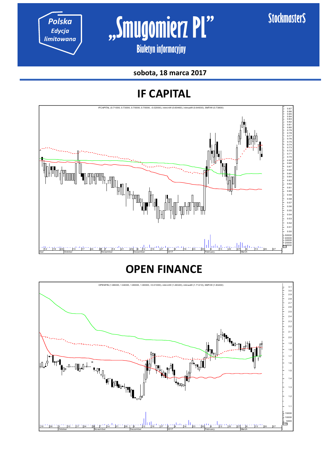*limitowana* **"Smugomierz PL"** 

**\$tockmaster\$** 

**Biuletyn informacyjny** 

**sobota, 18 marca 2017** 

## **IF CAPITAL**



## **OPEN FINANCE**

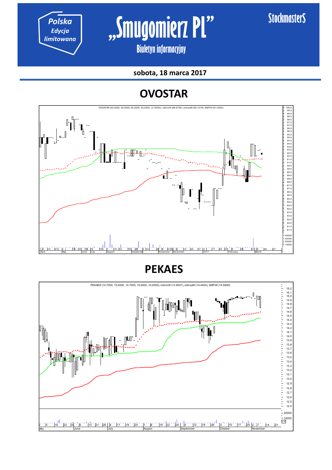*Polska Edycja* 

*limitowana* **"Smugomierz PL"** 

**Biuletyn informacyjny** 

**sobota, 18 marca 2017** 

## **OVOSTAR**



**PEKAES**

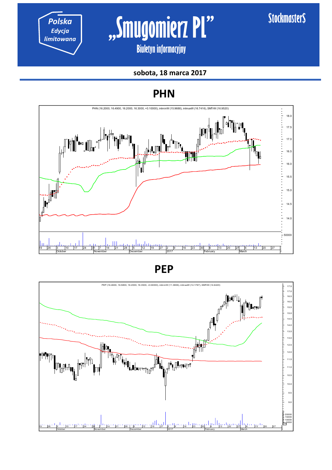

# **Polska c s s Smugomierz Pl**"

**Biuletyn informacyjny** 

#### **sobota, 18 marca 2017**

### **PHN**



**PEP**

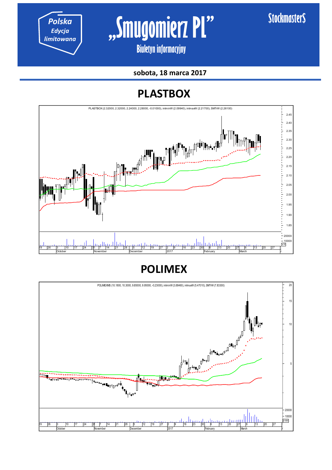*Polska Edycja* 

*limitowana* **"Smugomierz PL"** 

**Biuletyn informacyjny** 

**sobota, 18 marca 2017** 

## **PLASTBOX**



**POLIMEX**

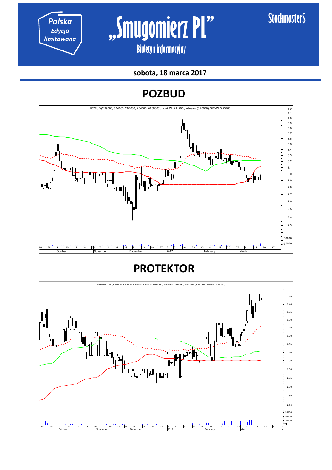*Polska Edycja* 

*limitowana* **"Smugomierz PL"** 

**Biuletyn informacyjny** 

#### **sobota, 18 marca 2017**

**POZBUD**



## **PROTEKTOR**

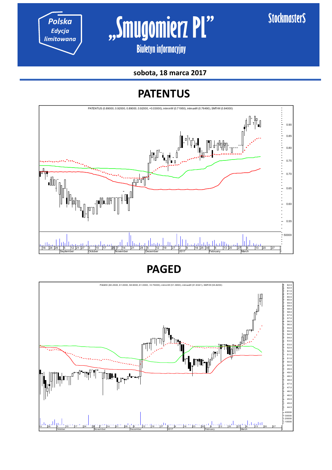Polska **Ruggiana 1997 Smugomierz Pl** 

**\$tockmaster\$** 

**Biuletyn informacyjny** 

**sobota, 18 marca 2017** 

## **PATENTUS**



**PAGED**

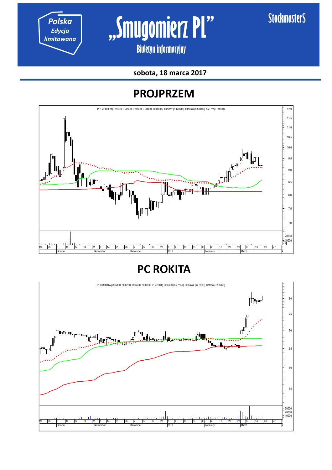*Polska Edycja* 

*limitowana* **"Smugomierz PL"** 

**Biuletyn informacyjny** 

**sobota, 18 marca 2017** 

## **PROJPRZEM**



**PC ROKITA**

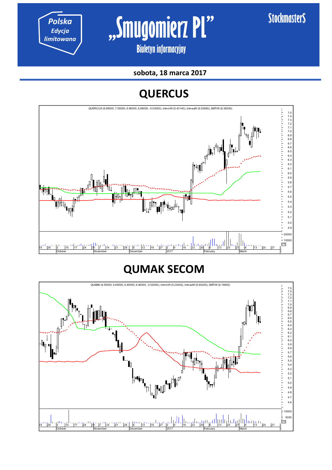*Polska Edycja* 

*limitowana* **"Smugomierz PL"** 

**Biuletyn informacyjny** 

**sobota, 18 marca 2017** 

## **QUERCUS**



## **QUMAK SECOM**

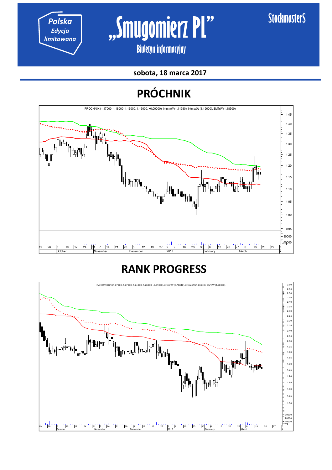*Polska Edycja* 

*limitowana* **"Smugomierz PL"** 

**Biuletyn informacyjny** 

**sobota, 18 marca 2017** 

## **PRÓCHNIK**



## **RANK PROGRESS**

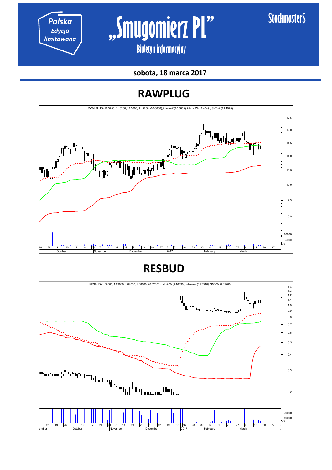*limitowana* **"Smugomierz PL"** 

**\$tockmaster\$** 

**Biuletyn informacyjny** 

**sobota, 18 marca 2017** 

## **RAWPLUG**



**RESBUD**

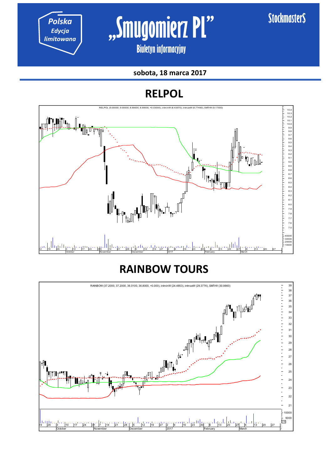*Polska Edycja* 

*limitowana* **"Smugomierz PL"** 

**Biuletyn informacyjny** 

#### **sobota, 18 marca 2017**

## **RELPOL**



## **RAINBOW TOURS**

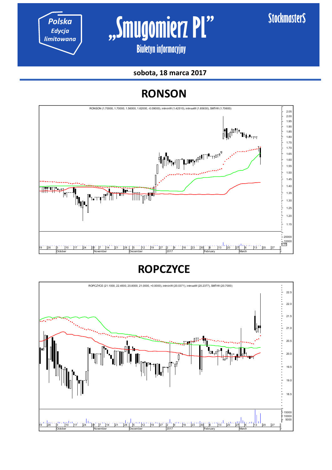

## **ROPCZYCE**



## **RONSON**

**sobota, 18 marca 2017** 



Polska **Mugomierz Pl**" **Biuletyn informacyjny** 

**\$tockmaster\$**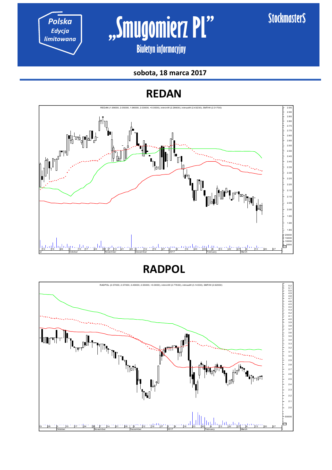

# *limitowana* **"Smugomierz PL"**

**Biuletyn informacyjny** 

#### **sobota, 18 marca 2017**

## **REDAN**



**RADPOL**

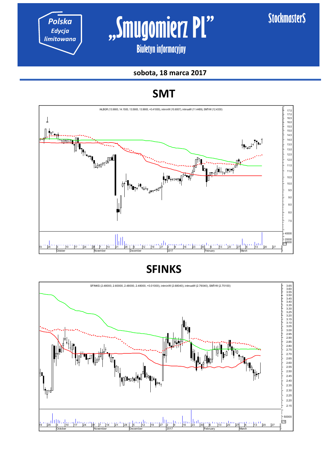*Polska Edycja* 

*limitowana* **"Smugomierz PL"** 

**Biuletyn informacyjny** 

**sobota, 18 marca 2017** 

## **SMT**



**SFINKS**

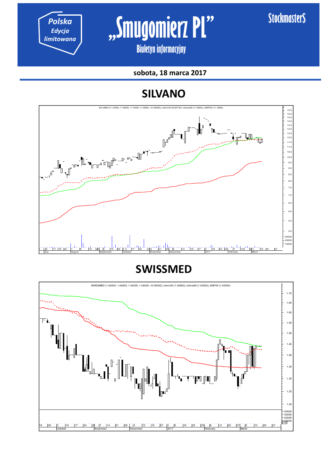*Polska Edycja* 

**Polska c s s Smugomierz Pl**"

**Biuletyn informacyjny** 

**sobota, 18 marca 2017** 

## **SILVANO**



**SWISSMED**

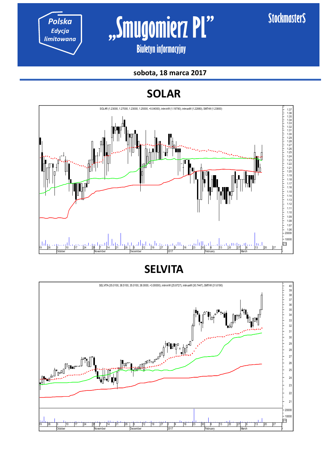*Polska Edycja* 

Polska **Ruggiana 1997 Smugomierz Pl** 

**Biuletyn informacyjny** 

#### **sobota, 18 marca 2017**

**SOLAR**



**SELVITA**

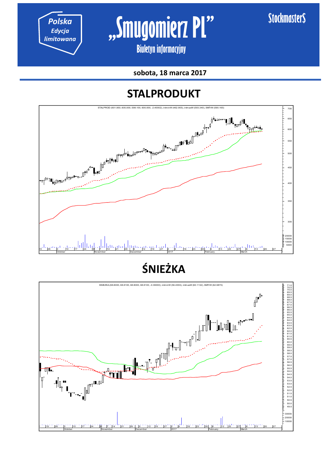*Polska Edycja* 



**Biuletyn informacyjny** 

**sobota, 18 marca 2017** 

## **STALPRODUKT**



**ŚNIEŻKA**

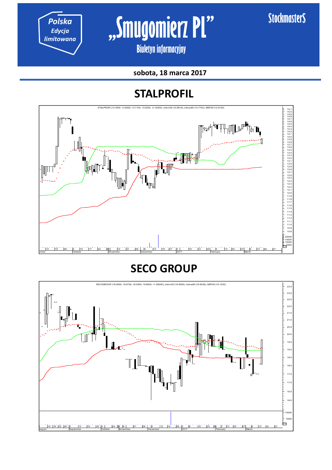*Polska Edycja* 

# *limitowana* **"Smugomierz PL"**

**Biuletyn informacyjny** 

**sobota, 18 marca 2017** 

## **STALPROFIL**



## **SECO GROUP**

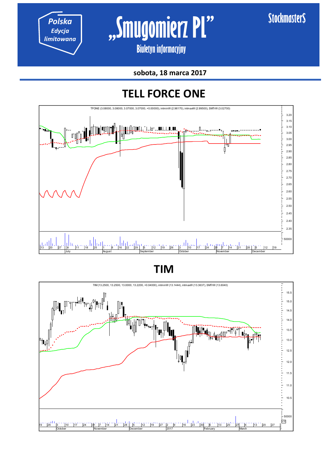*Polska Edycja* 

*limitowana* **"Smugomierz PL"** 

**Biuletyn informacyjny** 

**sobota, 18 marca 2017** 

## **TELL FORCE ONE**



**TIM**

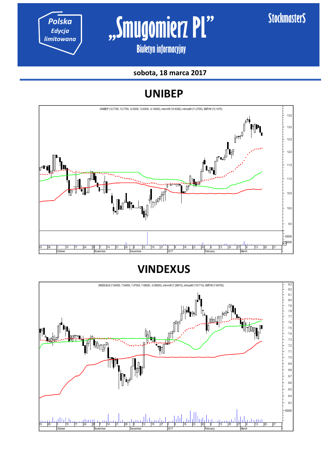*Polska Edycja* 

*limitowana* **"Smugomierz PL"** 

**Biuletyn informacyjny** 

#### **sobota, 18 marca 2017**

## **UNIBEP**



**VINDEXUS**

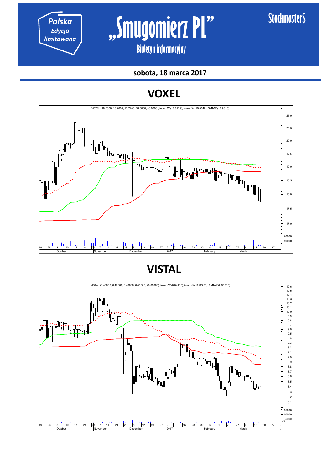

*limitowana* **"Smugomierz PL"** 

**\$tockmaster\$** 

**Biuletyn informacyjny** 

**sobota, 18 marca 2017** 

## **VOXEL**



**VISTAL**

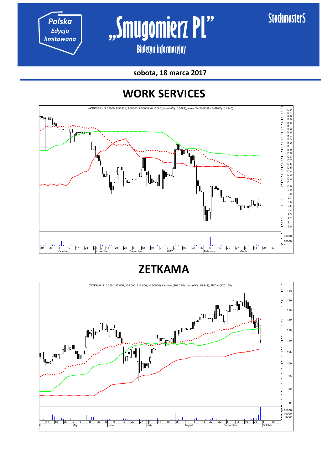*Polska Edycja* 

*limitowana* **"Smugomierz PL"** 

**Biuletyn informacyjny** 

**sobota, 18 marca 2017** 

## **WORK SERVICES**



**ZETKAMA** 

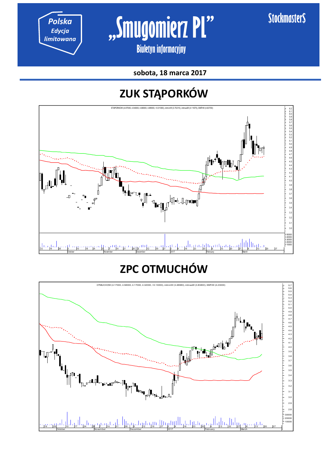*Polska Edycja* 



**Biuletyn informacyjny** 

**sobota, 18 marca 2017** 

## **ZUK STĄPORKÓW**



# **ZPC OTMUCHÓW**

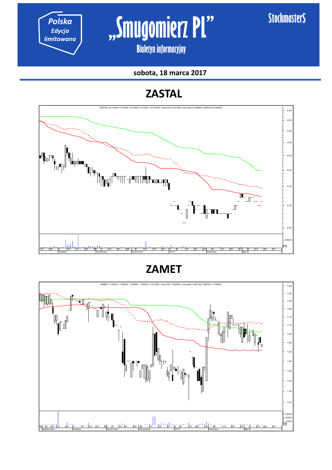*Polska Edycja* 

Polska<br> *Edycja*<br> *Iimitowana* **|** , Smugomierz PI"

**Biuletyn informacyjny** 

#### **sobota, 18 marca 2017**

## **ZASTAL**



**ZAMET**